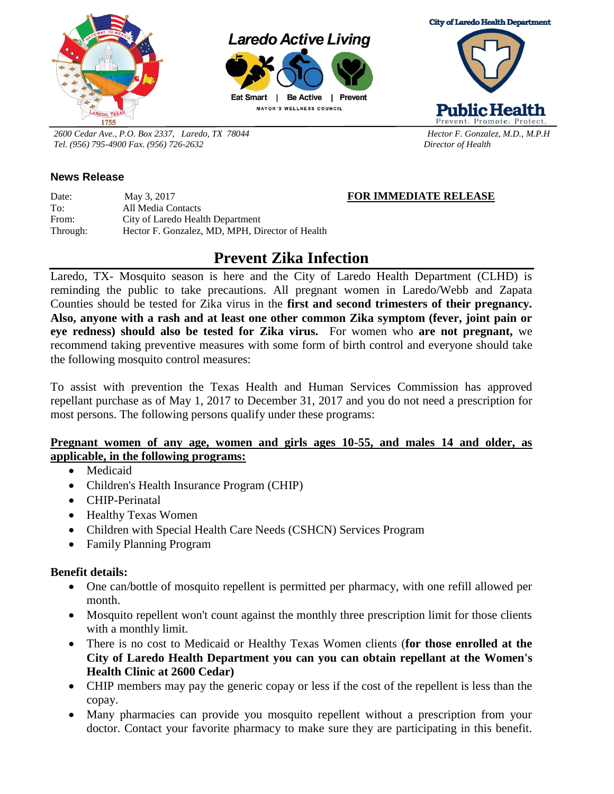

**Laredo Active Living** 



**MAYOR'S WELLNESS COUNCIL** 



Prevent. Promote. Protect

**Public Health** 

*2600 Cedar Ave., P.O. Box 2337, Laredo, TX 78044 Hector F. Gonzalez, M.D., M.P.H Tel. (956) 795-4900 Fax. (956) 726-2632 Director of Health* 

## **News Release**

Date: May 3, 2017 **FOR IMMEDIATE RELEASE** To: All Media Contacts From: City of Laredo Health Department Through: Hector F. Gonzalez, MD, MPH, Director of Health

# **Prevent Zika Infection**

Laredo, TX- Mosquito season is here and the City of Laredo Health Department (CLHD) is reminding the public to take precautions. All pregnant women in Laredo/Webb and Zapata Counties should be tested for Zika virus in the **first and second trimesters of their pregnancy. Also, anyone with a rash and at least one other common Zika symptom (fever, joint pain or eye redness) should also be tested for Zika virus.** For women who **are not pregnant,** we recommend taking preventive measures with some form of birth control and everyone should take the following mosquito control measures:

To assist with prevention the Texas Health and Human Services Commission has approved repellant purchase as of May 1, 2017 to December 31, 2017 and you do not need a prescription for most persons. The following persons qualify under these programs:

### **Pregnant women of any age, women and girls ages 10-55, and males 14 and older, as applicable, in the following programs:**

- Medicaid
- Children's Health Insurance Program (CHIP)
- CHIP-Perinatal
- Healthy Texas Women
- Children with Special Health Care Needs (CSHCN) Services Program
- Family Planning Program

### **Benefit details:**

- One can/bottle of mosquito repellent is permitted per pharmacy, with one refill allowed per month.
- Mosquito repellent won't count against the monthly three prescription limit for those clients with a monthly limit.
- There is no cost to Medicaid or Healthy Texas Women clients (**for those enrolled at the City of Laredo Health Department you can you can obtain repellant at the Women's Health Clinic at 2600 Cedar)**
- CHIP members may pay the generic copay or less if the cost of the repellent is less than the copay.
- Many pharmacies can provide you mosquito repellent without a prescription from your doctor. Contact your favorite pharmacy to make sure they are participating in this benefit.